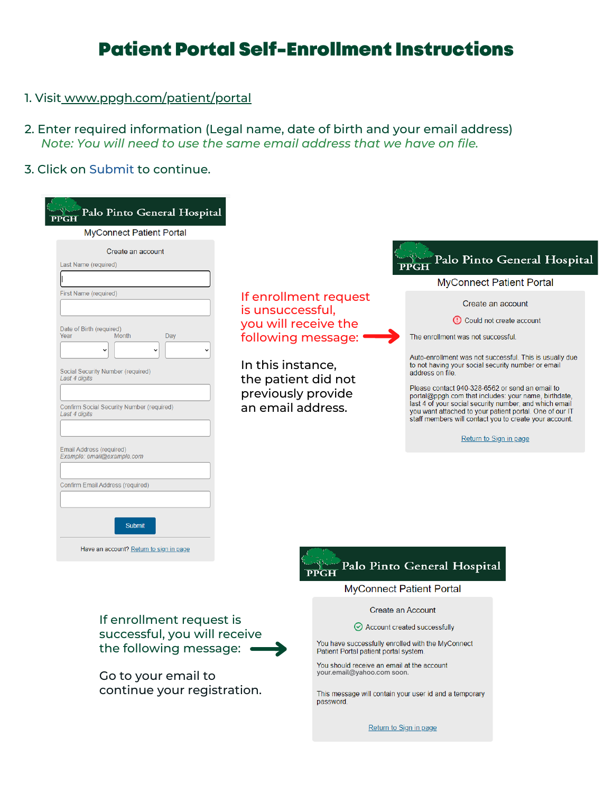## Patient Portal Self-Enrollment Instructions

- 1. Visit www.ppgh.com/patient/portal
- 2. Enter required information (Legal name, date of birth and your email address) *Note: You will need to use the same email address that we have on file.*
- 3. Click on Submit to continue.

| <b>MyConnect Patient Portal</b>                                                                                                                                                                                                                                       |                                                                                                                                                                                |                                                                                                                                                                                                                                                                                                                                                                                                                                                                                                                                              |
|-----------------------------------------------------------------------------------------------------------------------------------------------------------------------------------------------------------------------------------------------------------------------|--------------------------------------------------------------------------------------------------------------------------------------------------------------------------------|----------------------------------------------------------------------------------------------------------------------------------------------------------------------------------------------------------------------------------------------------------------------------------------------------------------------------------------------------------------------------------------------------------------------------------------------------------------------------------------------------------------------------------------------|
| Create an account<br>Last Name (required)                                                                                                                                                                                                                             |                                                                                                                                                                                | Palo Pinto General Hospital<br><b>PPGH</b>                                                                                                                                                                                                                                                                                                                                                                                                                                                                                                   |
|                                                                                                                                                                                                                                                                       |                                                                                                                                                                                | <b>MyConnect Patient Portal</b>                                                                                                                                                                                                                                                                                                                                                                                                                                                                                                              |
| First Name (required)<br>Date of Birth (required)<br>Month<br>Day<br>Year<br>Social Security Number (required)<br>Last 4 digits<br><b>Confirm Social Security Number (required)</b><br>Last 4 digits<br><b>Email Address (required)</b><br>Example: email@example.com | If enrollment request<br>is unsuccessful,<br>you will receive the<br>following message:<br>In this instance,<br>the patient did not<br>previously provide<br>an email address. | Create an account<br>Could not create account<br>The enrollment was not successful.<br>Auto-enrollment was not successful. This is usually due<br>to not having your social security number or email<br>address on file.<br>Please contact 940-328-6562 or send an email to<br>portal@ppgh.com that includes: your name, birthdate,<br>last 4 of your social security number, and which email<br>you want attached to your patient portal. One of our IT<br>staff members will contact you to create your account.<br>Return to Sign in page |
| <b>Confirm Email Address (required)</b><br><b>Submit</b><br>Have an account? Return to sign in page                                                                                                                                                                   |                                                                                                                                                                                | Palo Pinto General Hospital                                                                                                                                                                                                                                                                                                                                                                                                                                                                                                                  |
|                                                                                                                                                                                                                                                                       | <b>PPGH</b>                                                                                                                                                                    |                                                                                                                                                                                                                                                                                                                                                                                                                                                                                                                                              |
|                                                                                                                                                                                                                                                                       |                                                                                                                                                                                | <b>MyConnect Patient Portal</b>                                                                                                                                                                                                                                                                                                                                                                                                                                                                                                              |
| If enrollment request is<br>successful, you will receive<br>the following message:                                                                                                                                                                                    | Patient Portal patient portal system.                                                                                                                                          | Create an Account<br>$\odot$ Account created successfully<br>You have successfully enrolled with the MyConnect                                                                                                                                                                                                                                                                                                                                                                                                                               |
| Go to your email to<br>continue your registration.                                                                                                                                                                                                                    | You should receive an email at the account<br>your.email@yahoo.com soon.<br>password.                                                                                          | This message will contain your user id and a temporary                                                                                                                                                                                                                                                                                                                                                                                                                                                                                       |